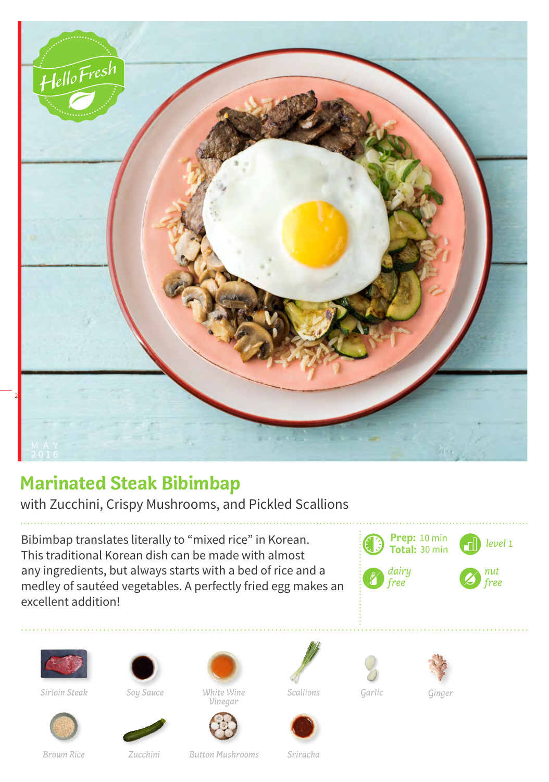

## **Marinated Steak Bibimbap**

with Zucchini, Crispy Mushrooms, and Pickled Scallions

Bibimbap translates literally to "mixed rice" in Korean. This traditional Korean dish can be made with almost any ingredients, but always starts with a bed of rice and a medley of sautéed vegetables. A perfectly fried egg makes an excellent addition!







*Sirloin Steak*

*Soy Sauce*

*White Wine Garlic Vinegar*









*Brown Rice*

*Zucchini Button Mushrooms Sriracha*